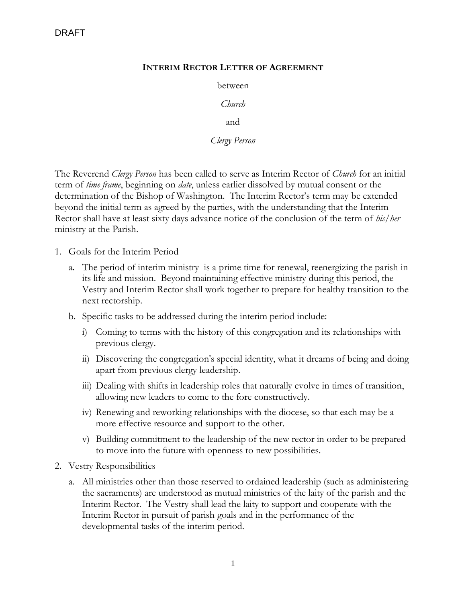## **INTERIM RECTOR LETTER OF AGREEMENT**

between

*Church*

and

*Clergy Person*

The Reverend *Clergy Person* has been called to serve as Interim Rector of *Church* for an initial term of *time frame*, beginning on *date*, unless earlier dissolved by mutual consent or the determination of the Bishop of Washington. The Interim Rector's term may be extended beyond the initial term as agreed by the parties, with the understanding that the Interim Rector shall have at least sixty days advance notice of the conclusion of the term of *his/her* ministry at the Parish.

- 1. Goals for the Interim Period
	- a. The period of interim ministry is a prime time for renewal, reenergizing the parish in its life and mission. Beyond maintaining effective ministry during this period, the Vestry and Interim Rector shall work together to prepare for healthy transition to the next rectorship.
	- b. Specific tasks to be addressed during the interim period include:
		- i) Coming to terms with the history of this congregation and its relationships with previous clergy.
		- ii) Discovering the congregation's special identity, what it dreams of being and doing apart from previous clergy leadership.
		- iii) Dealing with shifts in leadership roles that naturally evolve in times of transition, allowing new leaders to come to the fore constructively.
		- iv) Renewing and reworking relationships with the diocese, so that each may be a more effective resource and support to the other.
		- v) Building commitment to the leadership of the new rector in order to be prepared to move into the future with openness to new possibilities.
- 2. Vestry Responsibilities
	- a. All ministries other than those reserved to ordained leadership (such as administering the sacraments) are understood as mutual ministries of the laity of the parish and the Interim Rector. The Vestry shall lead the laity to support and cooperate with the Interim Rector in pursuit of parish goals and in the performance of the developmental tasks of the interim period.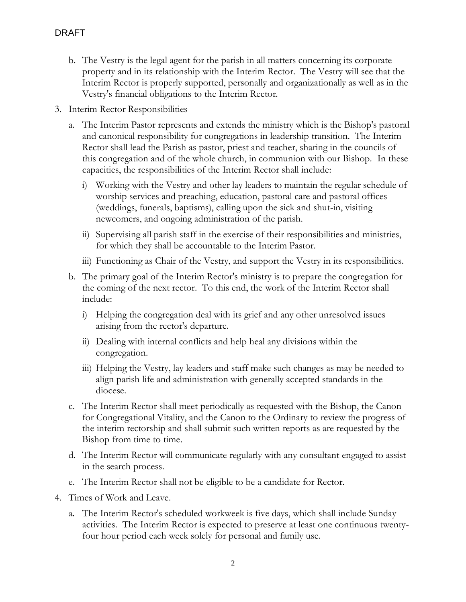- b. The Vestry is the legal agent for the parish in all matters concerning its corporate property and in its relationship with the Interim Rector. The Vestry will see that the Interim Rector is properly supported, personally and organizationally as well as in the Vestry's financial obligations to the Interim Rector.
- 3. Interim Rector Responsibilities
	- a. The Interim Pastor represents and extends the ministry which is the Bishop's pastoral and canonical responsibility for congregations in leadership transition. The Interim Rector shall lead the Parish as pastor, priest and teacher, sharing in the councils of this congregation and of the whole church, in communion with our Bishop. In these capacities, the responsibilities of the Interim Rector shall include:
		- i) Working with the Vestry and other lay leaders to maintain the regular schedule of worship services and preaching, education, pastoral care and pastoral offices (weddings, funerals, baptisms), calling upon the sick and shut-in, visiting newcomers, and ongoing administration of the parish.
		- ii) Supervising all parish staff in the exercise of their responsibilities and ministries, for which they shall be accountable to the Interim Pastor.
		- iii) Functioning as Chair of the Vestry, and support the Vestry in its responsibilities.
	- b. The primary goal of the Interim Rector's ministry is to prepare the congregation for the coming of the next rector. To this end, the work of the Interim Rector shall include:
		- i) Helping the congregation deal with its grief and any other unresolved issues arising from the rector's departure.
		- ii) Dealing with internal conflicts and help heal any divisions within the congregation.
		- iii) Helping the Vestry, lay leaders and staff make such changes as may be needed to align parish life and administration with generally accepted standards in the diocese.
	- c. The Interim Rector shall meet periodically as requested with the Bishop, the Canon for Congregational Vitality, and the Canon to the Ordinary to review the progress of the interim rectorship and shall submit such written reports as are requested by the Bishop from time to time.
	- d. The Interim Rector will communicate regularly with any consultant engaged to assist in the search process.
	- e. The Interim Rector shall not be eligible to be a candidate for Rector.
- 4. Times of Work and Leave.
	- a. The Interim Rector's scheduled workweek is five days, which shall include Sunday activities. The Interim Rector is expected to preserve at least one continuous twentyfour hour period each week solely for personal and family use.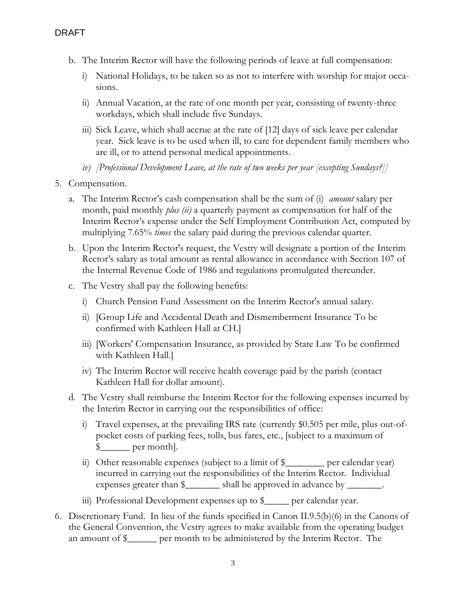- b. The Interim Rector will have the following periods of leave at full compensation:
	- i) National Holidays, to be taken so as not to interfere with worship for major occasions.
	- ii) Annual Vacation, at the rate of one month per year, consisting of twenty-three workdays, which shall include five Sundays.
	- iii) Sick Leave, which shall accrue at the rate of [12] days of sick leave per calendar year. Sick leave is to be used when ill, to care for dependent family members who are ill, or to attend personal medical appointments.
	- *iv) [Professional Development Leave, at the rate of two weeks per year [excepting Sundays?]]*
- 5. Compensation.
	- a. The Interim Rector's cash compensation shall be the sum of (i) *amount* salary per month, paid monthly *plus (ii)* a quarterly payment as compensation for half of the Interim Rector's expense under the Self Employment Contribution Act, computed by multiplying 7.65% *times* the salary paid during the previous calendar quarter.
	- b. Upon the Interim Rector's request, the Vestry will designate a portion of the Interim Rector's salary as total amount as rental allowance in accordance with Section 107 of the Internal Revenue Code of 1986 and regulations promulgated thereunder.
	- c. The Vestry shall pay the following benefits:
		- i) Church Pension Fund Assessment on the Interim Rector's annual salary.
		- ii) [Group Life and Accidental Death and Dismemberment Insurance To be confirmed with Kathleen Hall at CH.]
		- iii) [Workers' Compensation Insurance, as provided by State Law To be confirmed with Kathleen Hall.]
		- iv) The Interim Rector will receive health coverage paid by the parish (contact Kathleen Hall for dollar amount).
	- d. The Vestry shall reimburse the Interim Rector for the following expenses incurred by the Interim Rector in carrying out the responsibilities of office:
		- i) Travel expenses, at the prevailing IRS rate (currently \$0.505 per mile, plus out-ofpocket costs of parking fees, tolls, bus fares, etc., [subject to a maximum of  $\frac{1}{2}$  per month.
		- ii) Other reasonable expenses (subject to a limit of \$\_\_\_\_\_\_\_\_ per calendar year) incurred in carrying out the responsibilities of the Interim Rector. Individual expenses greater than  $\frac{1}{2}$  shall be approved in advance by \_\_\_\_\_\_\_.
		- iii) Professional Development expenses up to \$\_\_\_\_\_ per calendar year.
- 6. Discretionary Fund. In lieu of the funds specified in Canon II.9.5(b)(6) in the Canons of the General Convention, the Vestry agrees to make available from the operating budget an amount of \$\_\_\_\_\_\_ per month to be administered by the Interim Rector. The